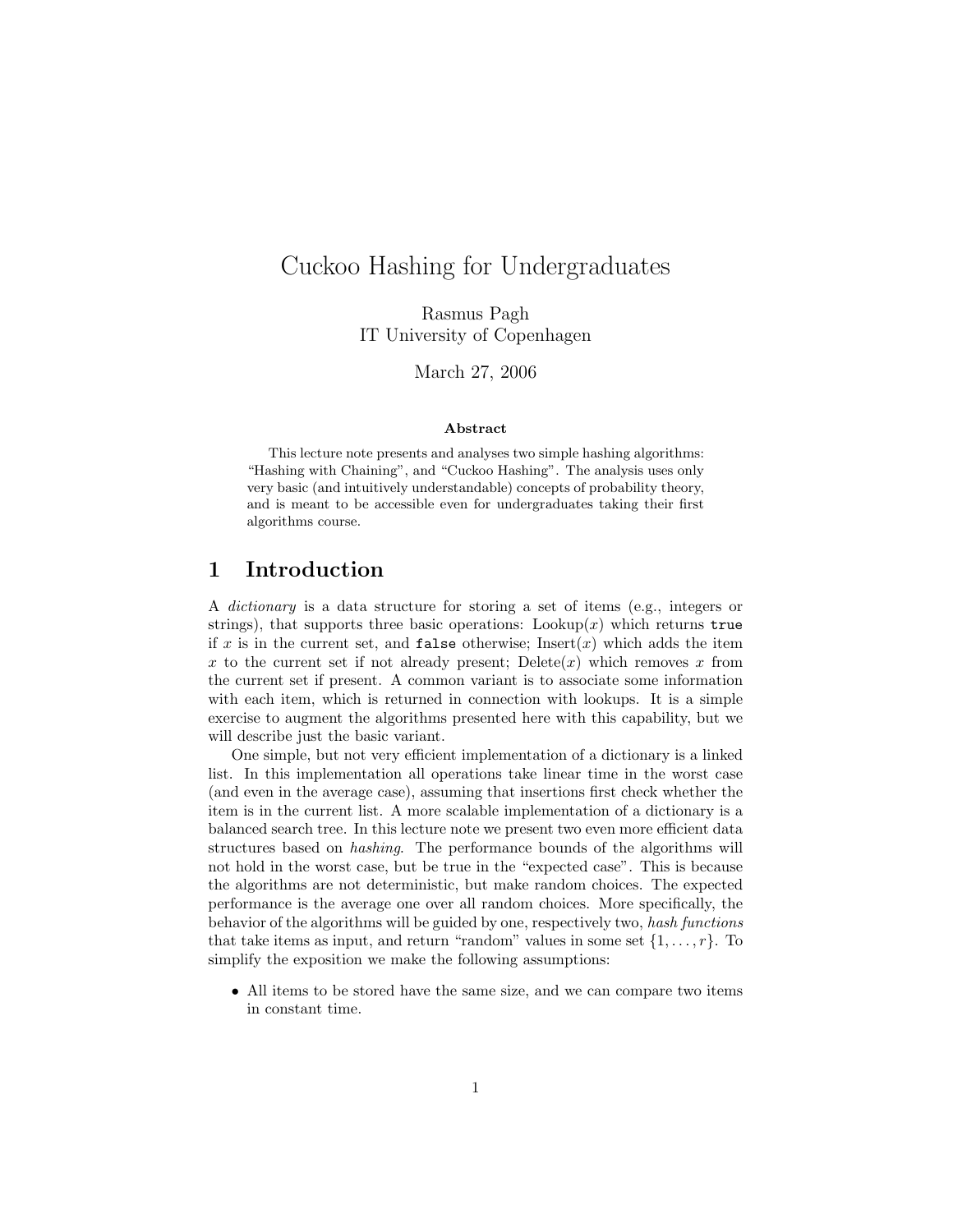# Cuckoo Hashing for Undergraduates

Rasmus Pagh IT University of Copenhagen

March 27, 2006

#### Abstract

This lecture note presents and analyses two simple hashing algorithms: "Hashing with Chaining", and "Cuckoo Hashing". The analysis uses only very basic (and intuitively understandable) concepts of probability theory, and is meant to be accessible even for undergraduates taking their first algorithms course.

### 1 Introduction

A dictionary is a data structure for storing a set of items (e.g., integers or strings), that supports three basic operations:  $\text{Looking}(x)$  which returns true if x is in the current set, and **false** otherwise; Insert(x) which adds the item x to the current set if not already present; Delete $(x)$  which removes x from the current set if present. A common variant is to associate some information with each item, which is returned in connection with lookups. It is a simple exercise to augment the algorithms presented here with this capability, but we will describe just the basic variant.

One simple, but not very efficient implementation of a dictionary is a linked list. In this implementation all operations take linear time in the worst case (and even in the average case), assuming that insertions first check whether the item is in the current list. A more scalable implementation of a dictionary is a balanced search tree. In this lecture note we present two even more efficient data structures based on hashing. The performance bounds of the algorithms will not hold in the worst case, but be true in the "expected case". This is because the algorithms are not deterministic, but make random choices. The expected performance is the average one over all random choices. More specifically, the behavior of the algorithms will be guided by one, respectively two, hash functions that take items as input, and return "random" values in some set  $\{1, \ldots, r\}$ . To simplify the exposition we make the following assumptions:

• All items to be stored have the same size, and we can compare two items in constant time.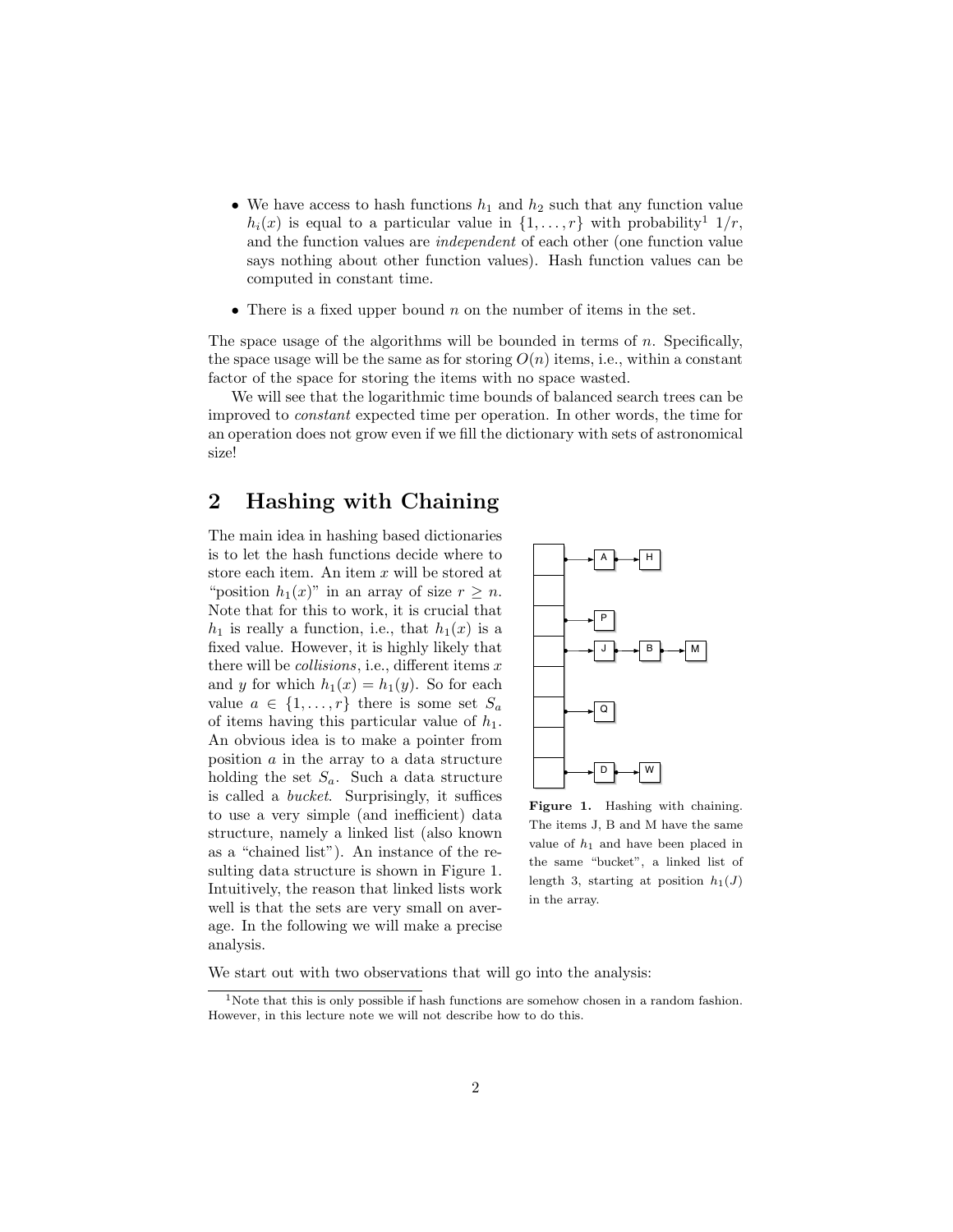- We have access to hash functions  $h_1$  and  $h_2$  such that any function value  $h_i(x)$  is equal to a particular value in  $\{1,\ldots,r\}$  with probability<sup>1</sup>  $1/r$ , and the function values are independent of each other (one function value says nothing about other function values). Hash function values can be computed in constant time.
- There is a fixed upper bound  $n$  on the number of items in the set.

The space usage of the algorithms will be bounded in terms of  $n$ . Specifically, the space usage will be the same as for storing  $O(n)$  items, i.e., within a constant factor of the space for storing the items with no space wasted.

We will see that the logarithmic time bounds of balanced search trees can be improved to constant expected time per operation. In other words, the time for an operation does not grow even if we fill the dictionary with sets of astronomical size!

## 2 Hashing with Chaining

The main idea in hashing based dictionaries is to let the hash functions decide where to store each item. An item  $x$  will be stored at "position  $h_1(x)$ " in an array of size  $r \geq n$ . Note that for this to work, it is crucial that  $h_1$  is really a function, i.e., that  $h_1(x)$  is a fixed value. However, it is highly likely that there will be *collisions*, i.e., different items  $x$ and y for which  $h_1(x) = h_1(y)$ . So for each value  $a \in \{1, \ldots, r\}$  there is some set  $S_a$ of items having this particular value of  $h_1$ . An obvious idea is to make a pointer from position  $a$  in the array to a data structure holding the set  $S_a$ . Such a data structure is called a bucket. Surprisingly, it suffices to use a very simple (and inefficient) data structure, namely a linked list (also known as a "chained list"). An instance of the resulting data structure is shown in Figure 1. Intuitively, the reason that linked lists work well is that the sets are very small on average. In the following we will make a precise analysis.



Figure 1. Hashing with chaining. The items J, B and M have the same value of  $h_1$  and have been placed in the same "bucket", a linked list of length 3, starting at position  $h_1(J)$ in the array.

We start out with two observations that will go into the analysis:

<sup>&</sup>lt;sup>1</sup>Note that this is only possible if hash functions are somehow chosen in a random fashion. However, in this lecture note we will not describe how to do this.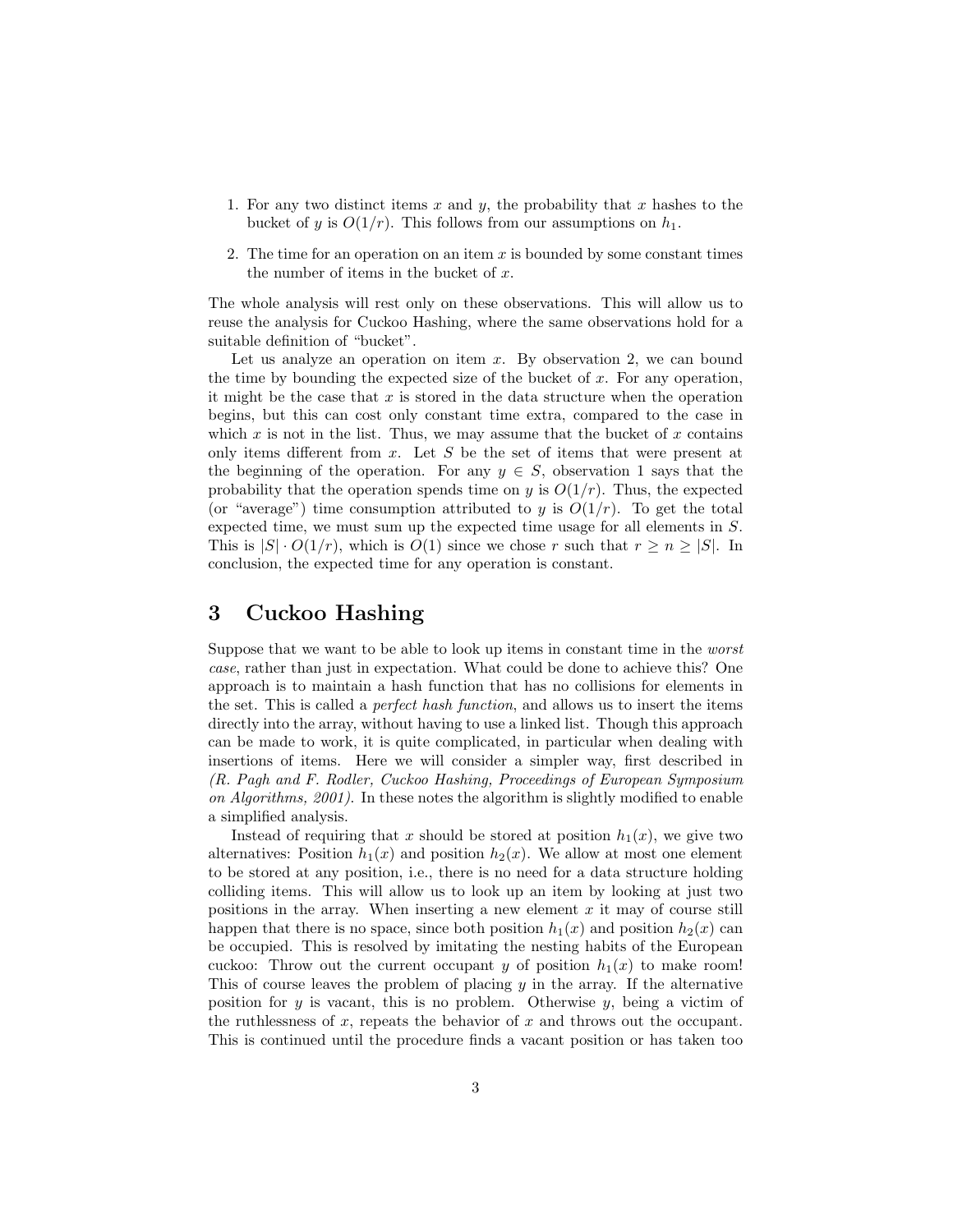- 1. For any two distinct items  $x$  and  $y$ , the probability that  $x$  hashes to the bucket of y is  $O(1/r)$ . This follows from our assumptions on  $h_1$ .
- 2. The time for an operation on an item  $x$  is bounded by some constant times the number of items in the bucket of  $x$ .

The whole analysis will rest only on these observations. This will allow us to reuse the analysis for Cuckoo Hashing, where the same observations hold for a suitable definition of "bucket".

Let us analyze an operation on item  $x$ . By observation 2, we can bound the time by bounding the expected size of the bucket of  $x$ . For any operation, it might be the case that  $x$  is stored in the data structure when the operation begins, but this can cost only constant time extra, compared to the case in which  $x$  is not in the list. Thus, we may assume that the bucket of  $x$  contains only items different from  $x$ . Let  $S$  be the set of items that were present at the beginning of the operation. For any  $y \in S$ , observation 1 says that the probability that the operation spends time on y is  $O(1/r)$ . Thus, the expected (or "average") time consumption attributed to y is  $O(1/r)$ . To get the total expected time, we must sum up the expected time usage for all elements in S. This is  $|S| \cdot O(1/r)$ , which is  $O(1)$  since we chose r such that  $r \ge n \ge |S|$ . In conclusion, the expected time for any operation is constant.

### 3 Cuckoo Hashing

Suppose that we want to be able to look up items in constant time in the worst case, rather than just in expectation. What could be done to achieve this? One approach is to maintain a hash function that has no collisions for elements in the set. This is called a perfect hash function, and allows us to insert the items directly into the array, without having to use a linked list. Though this approach can be made to work, it is quite complicated, in particular when dealing with insertions of items. Here we will consider a simpler way, first described in (R. Pagh and F. Rodler, Cuckoo Hashing, Proceedings of European Symposium on Algorithms, 2001). In these notes the algorithm is slightly modified to enable a simplified analysis.

Instead of requiring that x should be stored at position  $h_1(x)$ , we give two alternatives: Position  $h_1(x)$  and position  $h_2(x)$ . We allow at most one element to be stored at any position, i.e., there is no need for a data structure holding colliding items. This will allow us to look up an item by looking at just two positions in the array. When inserting a new element  $x$  it may of course still happen that there is no space, since both position  $h_1(x)$  and position  $h_2(x)$  can be occupied. This is resolved by imitating the nesting habits of the European cuckoo: Throw out the current occupant y of position  $h_1(x)$  to make room! This of course leaves the problem of placing  $y$  in the array. If the alternative position for  $y$  is vacant, this is no problem. Otherwise  $y$ , being a victim of the ruthlessness of x, repeats the behavior of x and throws out the occupant. This is continued until the procedure finds a vacant position or has taken too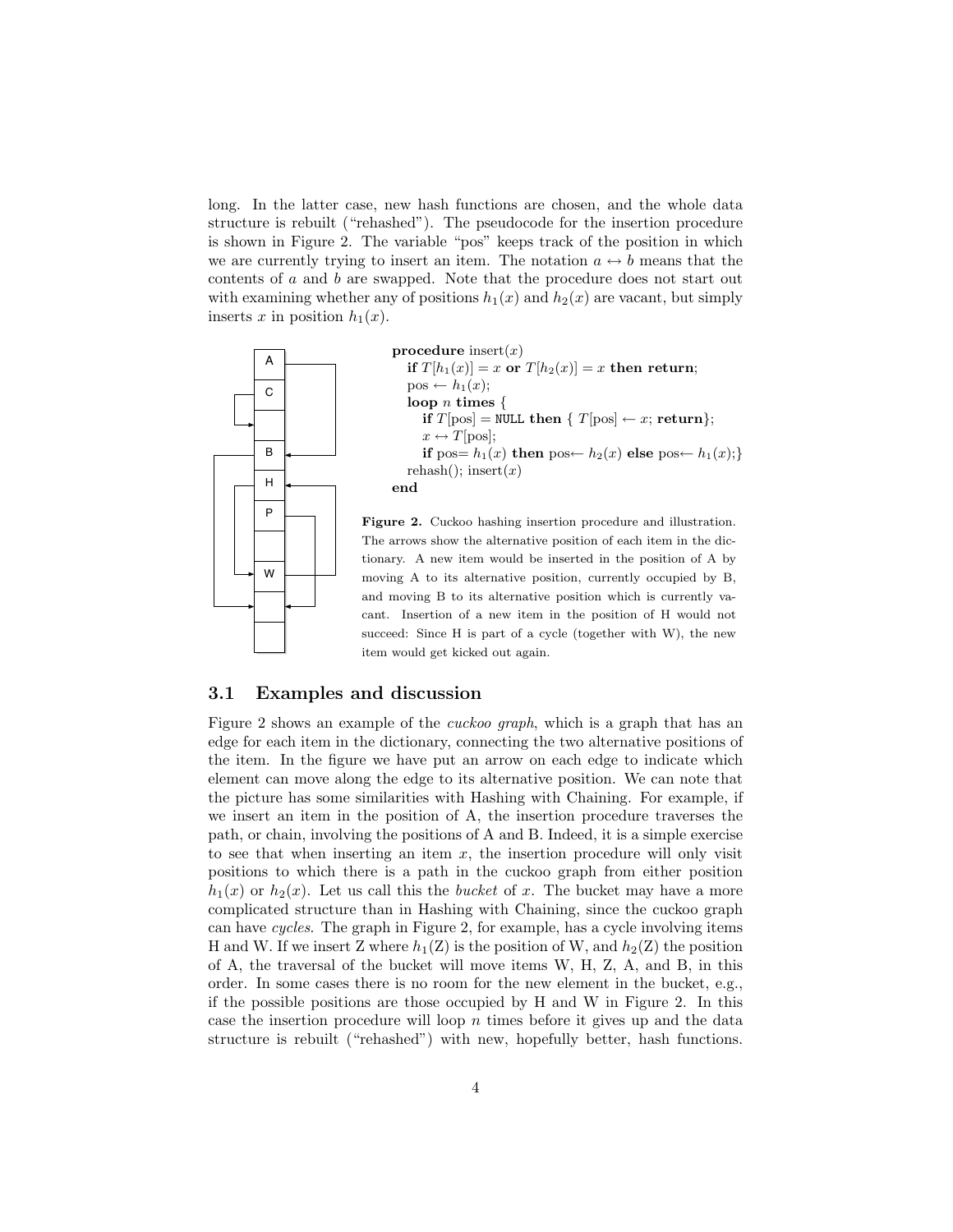long. In the latter case, new hash functions are chosen, and the whole data structure is rebuilt ("rehashed"). The pseudocode for the insertion procedure is shown in Figure 2. The variable "pos" keeps track of the position in which we are currently trying to insert an item. The notation  $a \leftrightarrow b$  means that the contents of a and b are swapped. Note that the procedure does not start out with examining whether any of positions  $h_1(x)$  and  $h_2(x)$  are vacant, but simply inserts x in position  $h_1(x)$ .



item would get kicked out again.

#### 3.1 Examples and discussion

Figure 2 shows an example of the cuckoo graph, which is a graph that has an edge for each item in the dictionary, connecting the two alternative positions of the item. In the figure we have put an arrow on each edge to indicate which element can move along the edge to its alternative position. We can note that the picture has some similarities with Hashing with Chaining. For example, if we insert an item in the position of A, the insertion procedure traverses the path, or chain, involving the positions of A and B. Indeed, it is a simple exercise to see that when inserting an item  $x$ , the insertion procedure will only visit positions to which there is a path in the cuckoo graph from either position  $h_1(x)$  or  $h_2(x)$ . Let us call this the bucket of x. The bucket may have a more complicated structure than in Hashing with Chaining, since the cuckoo graph can have cycles. The graph in Figure 2, for example, has a cycle involving items H and W. If we insert Z where  $h_1(Z)$  is the position of W, and  $h_2(Z)$  the position of A, the traversal of the bucket will move items W, H, Z, A, and B, in this order. In some cases there is no room for the new element in the bucket, e.g., if the possible positions are those occupied by H and W in Figure 2. In this case the insertion procedure will loop  $n$  times before it gives up and the data structure is rebuilt ("rehashed") with new, hopefully better, hash functions.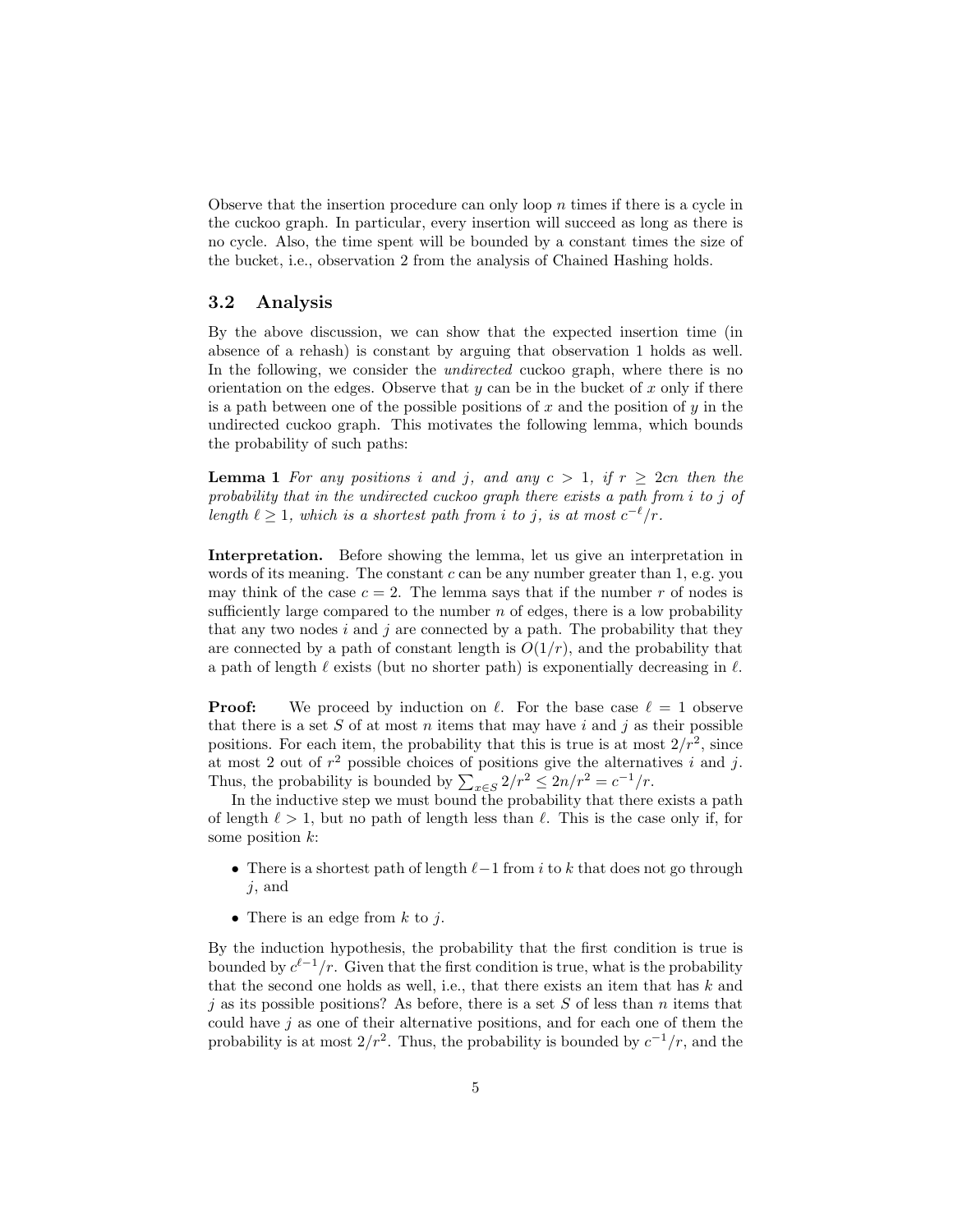Observe that the insertion procedure can only loop  $n$  times if there is a cycle in the cuckoo graph. In particular, every insertion will succeed as long as there is no cycle. Also, the time spent will be bounded by a constant times the size of the bucket, i.e., observation 2 from the analysis of Chained Hashing holds.

### 3.2 Analysis

By the above discussion, we can show that the expected insertion time (in absence of a rehash) is constant by arguing that observation 1 holds as well. In the following, we consider the *undirected* cuckoo graph, where there is no orientation on the edges. Observe that  $y$  can be in the bucket of  $x$  only if there is a path between one of the possible positions of x and the position of  $y$  in the undirected cuckoo graph. This motivates the following lemma, which bounds the probability of such paths:

**Lemma 1** For any positions i and j, and any  $c > 1$ , if  $r \geq 2cn$  then the probability that in the undirected cuckoo graph there exists a path from i to j of length  $\ell \geq 1$ , which is a shortest path from i to j, is at most  $c^{-\ell}/r$ .

Interpretation. Before showing the lemma, let us give an interpretation in words of its meaning. The constant  $c$  can be any number greater than 1, e.g. you may think of the case  $c = 2$ . The lemma says that if the number r of nodes is sufficiently large compared to the number  $n$  of edges, there is a low probability that any two nodes  $i$  and  $j$  are connected by a path. The probability that they are connected by a path of constant length is  $O(1/r)$ , and the probability that a path of length  $\ell$  exists (but no shorter path) is exponentially decreasing in  $\ell$ .

**Proof:** We proceed by induction on  $\ell$ . For the base case  $\ell = 1$  observe that there is a set  $S$  of at most  $n$  items that may have  $i$  and  $j$  as their possible positions. For each item, the probability that this is true is at most  $2/r^2$ , since at most 2 out of  $r^2$  possible choices of positions give the alternatives i and j. Thus, the probability is bounded by  $\sum_{x \in S} 2/r^2 \leq 2n/r^2 = c^{-1}/r$ .

In the inductive step we must bound the probability that there exists a path of length  $\ell > 1$ , but no path of length less than  $\ell$ . This is the case only if, for some position k:

- There is a shortest path of length  $\ell-1$  from i to k that does not go through  $j$ , and
- There is an edge from  $k$  to  $j$ .

By the induction hypothesis, the probability that the first condition is true is bounded by  $c^{\ell-1}/r$ . Given that the first condition is true, what is the probability that the second one holds as well, i.e., that there exists an item that has  $k$  and i as its possible positions? As before, there is a set S of less than n items that could have  $j$  as one of their alternative positions, and for each one of them the probability is at most  $2/r^2$ . Thus, the probability is bounded by  $c^{-1}/r$ , and the